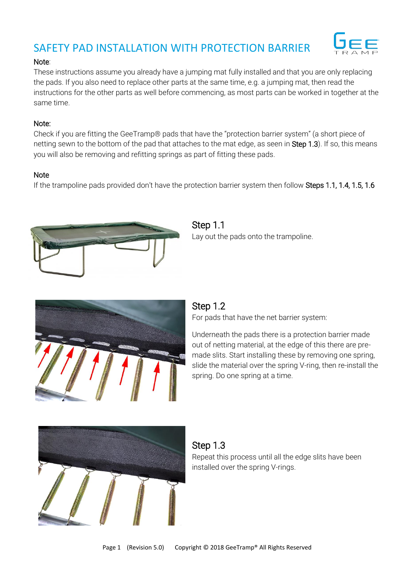# SAFETY PAD INSTALLATION WITH PROTECTION BARRIER



#### Note:

These instructions assume you already have a jumping mat fully installed and that you are only replacing the pads. If you also need to replace other parts at the same time, e.g. a jumping mat, then read the instructions for the other parts as well before commencing, as most parts can be worked in together at the same time.

#### Note:

Check if you are fitting the GeeTramp® pads that have the "protection barrier system" (a short piece of netting sewn to the bottom of the pad that attaches to the mat edge, as seen in Step 1.3). If so, this means you will also be removing and refitting springs as part of fitting these pads.

### **Note**

If the trampoline pads provided don't have the protection barrier system then follow Steps 1.1, 1.4, 1.5, 1.6



Step 1.1 Lay out the pads onto the trampoline.



### Step 1.2

For pads that have the net barrier system:

Underneath the pads there is a protection barrier made out of netting material, at the edge of this there are premade slits. Start installing these by removing one spring, slide the material over the spring V-ring, then re-install the spring. Do one spring at a time.



### Step 1.3 Repeat this process until all the edge slits have been installed over the spring V-rings.